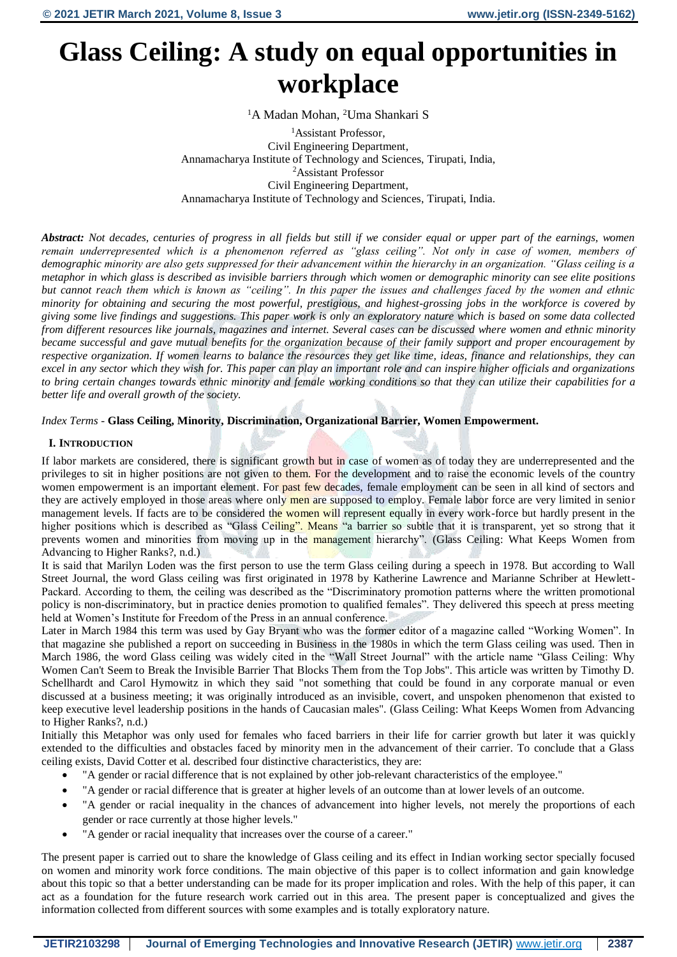# **Glass Ceiling: A study on equal opportunities in workplace**

<sup>1</sup>A Madan Mohan, <sup>2</sup>Uma Shankari S

<sup>1</sup>Assistant Professor. Civil Engineering Department, Annamacharya Institute of Technology and Sciences, Tirupati, India, <sup>2</sup>Assistant Professor Civil Engineering Department, Annamacharya Institute of Technology and Sciences, Tirupati, India.

*Abstract: Not decades, centuries of progress in all fields but still if we consider equal or upper part of the earnings, women remain underrepresented which is a phenomenon referred as "glass ceiling". Not only in case of women, members of demographic minority are also gets suppressed for their advancement within the hierarchy in an organization. "Glass ceiling is a metaphor in which glass is described as invisible barriers through which women or demographic minority can see elite positions but cannot reach them which is known as "ceiling". In this paper the issues and challenges faced by the women and ethnic minority for obtaining and securing the most powerful, prestigious, and highest-grossing jobs in the workforce is covered by giving some live findings and suggestions. This paper work is only an exploratory nature which is based on some data collected from different resources like journals, magazines and internet. Several cases can be discussed where women and ethnic minority became successful and gave mutual benefits for the organization because of their family support and proper encouragement by respective organization. If women learns to balance the resources they get like time, ideas, finance and relationships, they can excel in any sector which they wish for. This paper can play an important role and can inspire higher officials and organizations to bring certain changes towards ethnic minority and female working conditions so that they can utilize their capabilities for a better life and overall growth of the society.* 

# *Index Terms* - **Glass Ceiling, Minority, Discrimination, Organizational Barrier, Women Empowerment.**

# **I. INTRODUCTION**

If labor markets are considered, there is significant growth but in case of women as of today they are underrepresented and the privileges to sit in higher positions are not given to them. For the development and to raise the economic levels of the country women empowerment is an important element. For past few decades, female employment can be seen in all kind of sectors and they are actively employed in those areas where only men are supposed to employ. Female labor force are very limited in senior management levels. If facts are to be considered the women will represent equally in every work-force but hardly present in the higher positions which is described as "Glass Ceiling". Means "a barrier so subtle that it is transparent, yet so strong that it prevents women and minorities from moving up in the management hierarchy". (Glass Ceiling: What Keeps Women from Advancing to Higher Ranks?, n.d.)

It is said that Marilyn Loden was the first person to use the term Glass ceiling during a speech in 1978. But according to Wall Street Journal, the word Glass ceiling was first originated in 1978 by Katherine Lawrence and Marianne Schriber at Hewlett-Packard. According to them, the ceiling was described as the "Discriminatory promotion patterns where the written promotional policy is non-discriminatory, but in practice denies promotion to qualified females". They delivered this speech at press meeting held at Women's Institute for Freedom of the Press in an annual conference.

Later in March 1984 this term was used by Gay Bryant who was the former editor of a magazine called "Working Women". In that magazine she published a report on succeeding in Business in the 1980s in which the term Glass ceiling was used. Then in March 1986, the word Glass ceiling was widely cited in the "Wall Street Journal" with the article name "Glass Ceiling: Why Women Can't Seem to Break the Invisible Barrier That Blocks Them from the Top Jobs". This article was written by Timothy D. Schellhardt and Carol Hymowitz in which they said "not something that could be found in any corporate manual or even discussed at a business meeting; it was originally introduced as an invisible, covert, and unspoken phenomenon that existed to keep executive level leadership positions in the hands of Caucasian males". (Glass Ceiling: What Keeps Women from Advancing to Higher Ranks?, n.d.)

Initially this Metaphor was only used for females who faced barriers in their life for carrier growth but later it was quickly extended to the difficulties and obstacles faced by minority men in the advancement of their carrier. To conclude that a Glass ceiling exists, David Cotter et al. described four distinctive characteristics, they are:

- "A gender or racial difference that is not explained by other job-relevant characteristics of the employee."
- "A gender or racial difference that is greater at higher levels of an outcome than at lower levels of an outcome.
- "A gender or racial inequality in the chances of advancement into higher levels, not merely the proportions of each gender or race currently at those higher levels."
- "A gender or racial inequality that increases over the course of a career."

The present paper is carried out to share the knowledge of Glass ceiling and its effect in Indian working sector specially focused on women and minority work force conditions. The main objective of this paper is to collect information and gain knowledge about this topic so that a better understanding can be made for its proper implication and roles. With the help of this paper, it can act as a foundation for the future research work carried out in this area. The present paper is conceptualized and gives the information collected from different sources with some examples and is totally exploratory nature.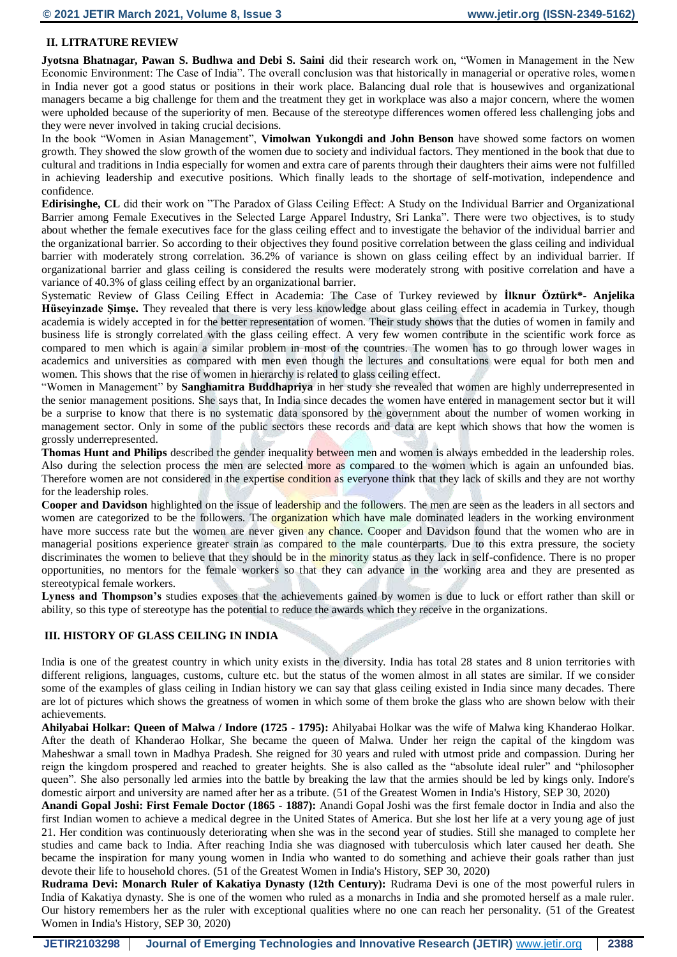# **II. LITRATURE REVIEW**

**Jyotsna Bhatnagar, Pawan S. Budhwa and Debi S. Saini** did their research work on, "Women in Management in the New Economic Environment: The Case of India". The overall conclusion was that historically in managerial or operative roles, women in India never got a good status or positions in their work place. Balancing dual role that is housewives and organizational managers became a big challenge for them and the treatment they get in workplace was also a major concern, where the women were upholded because of the superiority of men. Because of the stereotype differences women offered less challenging jobs and they were never involved in taking crucial decisions.

In the book "Women in Asian Management", **Vimolwan Yukongdi and John Benson** have showed some factors on women growth. They showed the slow growth of the women due to society and individual factors. They mentioned in the book that due to cultural and traditions in India especially for women and extra care of parents through their daughters their aims were not fulfilled in achieving leadership and executive positions. Which finally leads to the shortage of self-motivation, independence and confidence.

**Edirisinghe, CL** did their work on "The Paradox of Glass Ceiling Effect: A Study on the Individual Barrier and Organizational Barrier among Female Executives in the Selected Large Apparel Industry, Sri Lanka". There were two objectives, is to study about whether the female executives face for the glass ceiling effect and to investigate the behavior of the individual barrier and the organizational barrier. So according to their objectives they found positive correlation between the glass ceiling and individual barrier with moderately strong correlation. 36.2% of variance is shown on glass ceiling effect by an individual barrier. If organizational barrier and glass ceiling is considered the results were moderately strong with positive correlation and have a variance of 40.3% of glass ceiling effect by an organizational barrier.

Systematic Review of Glass Ceiling Effect in Academia: The Case of Turkey reviewed by **İlknur Öztürk\*- Anjelika Hüseyinzade Şimşe.** They revealed that there is very less knowledge about glass ceiling effect in academia in Turkey, though academia is widely accepted in for the better representation of women. Their study shows that the duties of women in family and business life is strongly correlated with the glass ceiling effect. A very few women contribute in the scientific work force as compared to men which is again a similar problem in most of the countries. The women has to go through lower wages in academics and universities as compared with men even though the lectures and consultations were equal for both men and women. This shows that the rise of women in hierarchy is related to glass ceiling effect.

"Women in Management" by **Sanghamitra Buddhapriya** in her study she revealed that women are highly underrepresented in the senior management positions. She says that, In India since decades the women have entered in management sector but it will be a surprise to know that there is no systematic data sponsored by the government about the number of women working in management sector. Only in some of the public sectors these records and data are kept which shows that how the women is grossly underrepresented.

**Thomas Hunt and Philips** described the gender inequality between men and women is always embedded in the leadership roles. Also during the selection process the men are selected more as compared to the women which is again an unfounded bias. Therefore women are not considered in the expertise condition as everyone think that they lack of skills and they are not worthy for the leadership roles.

**Cooper and Davidson** highlighted on the issue of leadership and the followers. The men are seen as the leaders in all sectors and women are categorized to be the followers. The **organization** which have male dominated leaders in the working environment have more success rate but the women are never given any chance. Cooper and Davidson found that the women who are in managerial positions experience greater strain as compared to the male counterparts. Due to this extra pressure, the society discriminates the women to believe that they should be in the minority status as they lack in self-confidence. There is no proper opportunities, no mentors for the female workers so that they can advance in the working area and they are presented as stereotypical female workers.

**Lyness and Thompson's** studies exposes that the achievements gained by women is due to luck or effort rather than skill or ability, so this type of stereotype has the potential to reduce the awards which they receive in the organizations.

#### **III. HISTORY OF GLASS CEILING IN INDIA**

India is one of the greatest country in which unity exists in the diversity. India has total 28 states and 8 union territories with different religions, languages, customs, culture etc. but the status of the women almost in all states are similar. If we consider some of the examples of glass ceiling in Indian history we can say that glass ceiling existed in India since many decades. There are lot of pictures which shows the greatness of women in which some of them broke the glass who are shown below with their achievements.

**Ahilyabai Holkar: Queen of Malwa / Indore (1725 - 1795):** Ahilyabai Holkar was the wife of Malwa king Khanderao Holkar. After the death of Khanderao Holkar, She became the queen of Malwa. Under her reign the capital of the kingdom was Maheshwar a small town in Madhya Pradesh. She reigned for 30 years and ruled with utmost pride and compassion. During her reign the kingdom prospered and reached to greater heights. She is also called as the "absolute ideal ruler" and "philosopher queen". She also personally led armies into the battle by breaking the law that the armies should be led by kings only. Indore's domestic airport and university are named after her as a tribute. (51 of the Greatest Women in India's History, SEP 30, 2020)

**Anandi Gopal Joshi: First Female Doctor (1865 - 1887):** Anandi Gopal Joshi was the first female doctor in India and also the first Indian women to achieve a medical degree in the United States of America. But she lost her life at a very young age of just 21. Her condition was continuously deteriorating when she was in the second year of studies. Still she managed to complete her studies and came back to India. After reaching India she was diagnosed with tuberculosis which later caused her death. She became the inspiration for many young women in India who wanted to do something and achieve their goals rather than just devote their life to household chores. (51 of the Greatest Women in India's History, SEP 30, 2020)

**Rudrama Devi: Monarch Ruler of Kakatiya Dynasty (12th Century):** Rudrama Devi is one of the most powerful rulers in India of Kakatiya dynasty. She is one of the women who ruled as a monarchs in India and she promoted herself as a male ruler. Our history remembers her as the ruler with exceptional qualities where no one can reach her personality. (51 of the Greatest Women in India's History, SEP 30, 2020)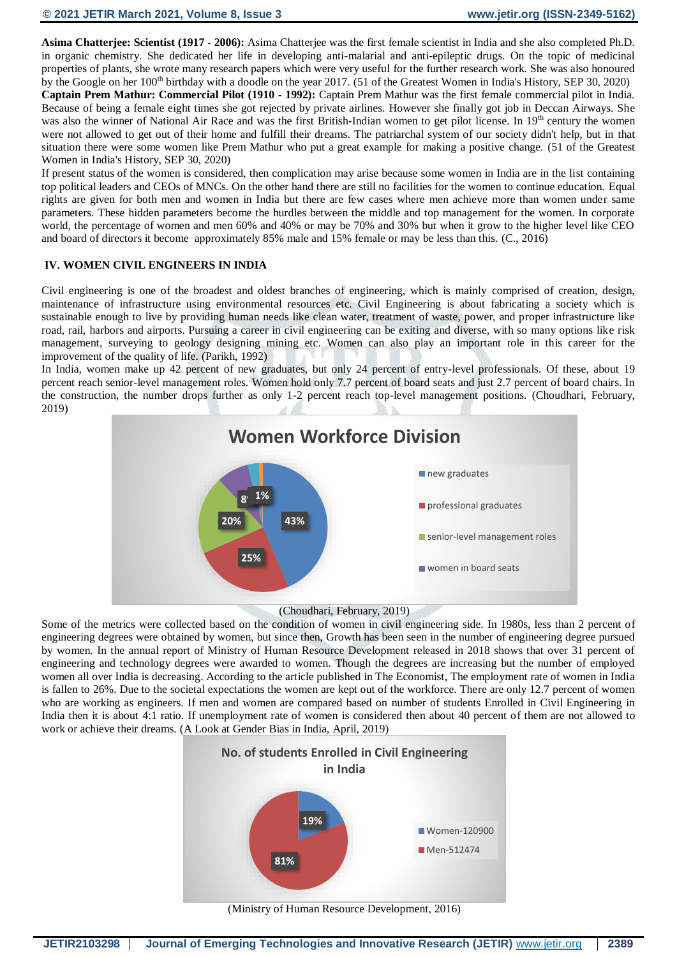**Asima Chatterjee: Scientist (1917 - 2006):** Asima Chatterjee was the first female scientist in India and she also completed Ph.D. in organic chemistry. She dedicated her life in developing anti-malarial and anti-epileptic drugs. On the topic of medicinal properties of plants, she wrote many research papers which were very useful for the further research work. She was also honoured by the Google on her 100<sup>th</sup> birthday with a doodle on the year 2017. (51 of the Greatest Women in India's History, SEP 30, 2020) **Captain Prem Mathur: Commercial Pilot (1910 - 1992):** Captain Prem Mathur was the first female commercial pilot in India. Because of being a female eight times she got rejected by private airlines. However she finally got job in Deccan Airways. She was also the winner of National Air Race and was the first British-Indian women to get pilot license. In 19<sup>th</sup> century the women were not allowed to get out of their home and fulfill their dreams. The patriarchal system of our society didn't help, but in that situation there were some women like Prem Mathur who put a great example for making a positive change. (51 of the Greatest Women in India's History, SEP 30, 2020)

If present status of the women is considered, then complication may arise because some women in India are in the list containing top political leaders and CEOs of MNCs. On the other hand there are still no facilities for the women to continue education. Equal rights are given for both men and women in India but there are few cases where men achieve more than women under same parameters. These hidden parameters become the hurdles between the middle and top management for the women. In corporate world, the percentage of women and men 60% and 40% or may be 70% and 30% but when it grow to the higher level like CEO and board of directors it become approximately 85% male and 15% female or may be less than this. (C., 2016)

# **IV. WOMEN CIVIL ENGINEERS IN INDIA**

Civil engineering is one of the broadest and oldest branches of engineering, which is mainly comprised of creation, design, maintenance of infrastructure using environmental resources etc. Civil Engineering is about fabricating a society which is sustainable enough to live by providing human needs like clean water, treatment of waste, power, and proper infrastructure like road, rail, harbors and airports. Pursuing a career in civil engineering can be exiting and diverse, with so many options like risk management, surveying to geology designing mining etc. Women can also play an important role in this career for the improvement of the quality of life. (Parikh, 1992)

In India, women make up 42 percent of new graduates, but only 24 percent of entry-level professionals. Of these, about 19 percent reach senior-level management roles. Women hold only 7.7 percent of board seats and just 2.7 percent of board chairs. In the construction, the number drops further as only 1-2 percent reach top-level management positions. (Choudhari, February, 2019)



#### (Choudhari, February, 2019)

Some of the metrics were collected based on the condition of women in civil engineering side. In 1980s, less than 2 percent of engineering degrees were obtained by women, but since then, Growth has been seen in the number of engineering degree pursued by women. In the annual report of Ministry of Human Resource Development released in 2018 shows that over 31 percent of engineering and technology degrees were awarded to women. Though the degrees are increasing but the number of employed women all over India is decreasing. According to the article published in The Economist, The employment rate of women in India is fallen to 26%. Due to the societal expectations the women are kept out of the workforce. There are only 12.7 percent of women who are working as engineers. If men and women are compared based on number of students Enrolled in Civil Engineering in India then it is about 4:1 ratio. If unemployment rate of women is considered then about 40 percent of them are not allowed to work or achieve their dreams. (A Look at Gender Bias in India, April, 2019)



(Ministry of Human Resource Development, 2016)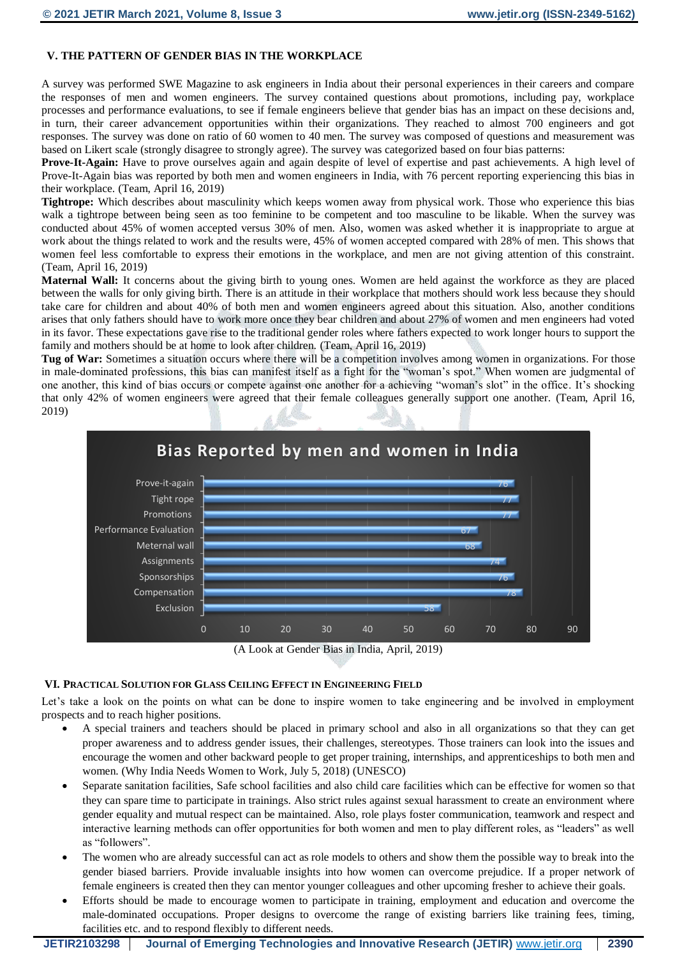# **V. THE PATTERN OF GENDER BIAS IN THE WORKPLACE**

A survey was performed SWE Magazine to ask engineers in India about their personal experiences in their careers and compare the responses of men and women engineers. The survey contained questions about promotions, including pay, workplace processes and performance evaluations, to see if female engineers believe that gender bias has an impact on these decisions and, in turn, their career advancement opportunities within their organizations. They reached to almost 700 engineers and got responses. The survey was done on ratio of 60 women to 40 men. The survey was composed of questions and measurement was based on Likert scale (strongly disagree to strongly agree). The survey was categorized based on four bias patterns:

**Prove-It-Again:** Have to prove ourselves again and again despite of level of expertise and past achievements. A high level of Prove-It-Again bias was reported by both men and women engineers in India, with 76 percent reporting experiencing this bias in their workplace. (Team, April 16, 2019)

**Tightrope:** Which describes about masculinity which keeps women away from physical work. Those who experience this bias walk a tightrope between being seen as too feminine to be competent and too masculine to be likable. When the survey was conducted about 45% of women accepted versus 30% of men. Also, women was asked whether it is inappropriate to argue at work about the things related to work and the results were, 45% of women accepted compared with 28% of men. This shows that women feel less comfortable to express their emotions in the workplace, and men are not giving attention of this constraint. (Team, April 16, 2019)

**Maternal Wall:** It concerns about the giving birth to young ones. Women are held against the workforce as they are placed between the walls for only giving birth. There is an attitude in their workplace that mothers should work less because they should take care for children and about 40% of both men and women engineers agreed about this situation. Also, another conditions arises that only fathers should have to work more once they bear children and about 27% of women and men engineers had voted in its favor. These expectations gave rise to the traditional gender roles where fathers expected to work longer hours to support the family and mothers should be at home to look after children. (Team, April 16, 2019)

**Tug of War:** Sometimes a situation occurs where there will be a competition involves among women in organizations. For those in male-dominated professions, this bias can manifest itself as a fight for the "woman's spot." When women are judgmental of one another, this kind of bias occurs or compete against one another for a achieving "woman's slot" in the office. It's shocking that only 42% of women engineers were agreed that their female colleagues generally support one another. (Team, April 16, 2019)





# **VI. PRACTICAL SOLUTION FOR GLASS CEILING EFFECT IN ENGINEERING FIELD**

Let's take a look on the points on what can be done to inspire women to take engineering and be involved in employment prospects and to reach higher positions.

- A special trainers and teachers should be placed in primary school and also in all organizations so that they can get proper awareness and to address gender issues, their challenges, stereotypes. Those trainers can look into the issues and encourage the women and other backward people to get proper training, internships, and apprenticeships to both men and women. (Why India Needs Women to Work, July 5, 2018) (UNESCO)
- Separate sanitation facilities, Safe school facilities and also child care facilities which can be effective for women so that they can spare time to participate in trainings. Also strict rules against sexual harassment to create an environment where gender equality and mutual respect can be maintained. Also, role plays foster communication, teamwork and respect and interactive learning methods can offer opportunities for both women and men to play different roles, as "leaders" as well as "followers".
- The women who are already successful can act as role models to others and show them the possible way to break into the gender biased barriers. Provide invaluable insights into how women can overcome prejudice. If a proper network of female engineers is created then they can mentor younger colleagues and other upcoming fresher to achieve their goals.
- Efforts should be made to encourage women to participate in training, employment and education and overcome the male-dominated occupations. Proper designs to overcome the range of existing barriers like training fees, timing, facilities etc. and to respond flexibly to different needs.